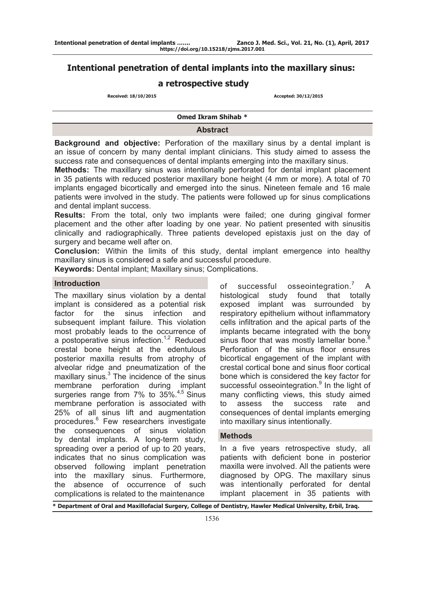# **Intentional penetration of dental implants into the maxillary sinus:**

# **a retrospective study**

 **Received: 18/10/2015 Accepted: 30/12/2015**

**Omed Ikram Shihab \*** 

### **Abstract**

**Background and objective:** Perforation of the maxillary sinus by a dental implant is an issue of concern by many dental implant clinicians. This study aimed to assess the success rate and consequences of dental implants emerging into the maxillary sinus.

**Methods:** The maxillary sinus was intentionally perforated for dental implant placement in 35 patients with reduced posterior maxillary bone height (4 mm or more). A total of 70 implants engaged bicortically and emerged into the sinus. Nineteen female and 16 male patients were involved in the study. The patients were followed up for sinus complications and dental implant success.

**Results:** From the total, only two implants were failed; one during gingival former placement and the other after loading by one year. No patient presented with sinusitis clinically and radiographically. Three patients developed epistaxis just on the day of surgery and became well after on.

**Conclusion:** Within the limits of this study, dental implant emergence into healthy maxillary sinus is considered a safe and successful procedure.

**Keywords:** Dental implant; Maxillary sinus; Complications.

#### **Introduction**

The maxillary sinus violation by a dental implant is considered as a potential risk factor for the sinus infection and subsequent implant failure. This violation most probably leads to the occurrence of a postoperative sinus infection.<sup>1,2</sup> Reduced crestal bone height at the edentulous posterior maxilla results from atrophy of alveolar ridge and pneumatization of the maxillary sinus.<sup>3</sup> The incidence of the sinus membrane perforation during implant surgeries range from 7% to 35%.<sup>4,5</sup> Sinus membrane perforation is associated with 25% of all sinus lift and augmentation procedures.6 Few researchers investigate the consequences of sinus violation by dental implants. A long-term study, spreading over a period of up to 20 years, indicates that no sinus complication was observed following implant penetration into the maxillary sinus. Furthermore, the absence of occurrence of such complications is related to the maintenance

of successful osseointegration.<sup>7</sup> A histological study found that totally exposed implant was surrounded by respiratory epithelium without inflammatory cells infiltration and the apical parts of the implants became integrated with the bony sinus floor that was mostly lamellar bone. $8$ Perforation of the sinus floor ensures bicortical engagement of the implant with crestal cortical bone and sinus floor cortical bone which is considered the key factor for successful osseointegration.<sup>9</sup> In the light of many conflicting views, this study aimed to assess the success rate and consequences of dental implants emerging into maxillary sinus intentionally.

#### **Methods**

In a five years retrospective study, all patients with deficient bone in posterior maxilla were involved. All the patients were diagnosed by OPG. The maxillary sinus was intentionally perforated for dental implant placement in 35 patients with

**\* Department of Oral and Maxillofacial Surgery, College of Dentistry, Hawler Medical University, Erbil, Iraq.**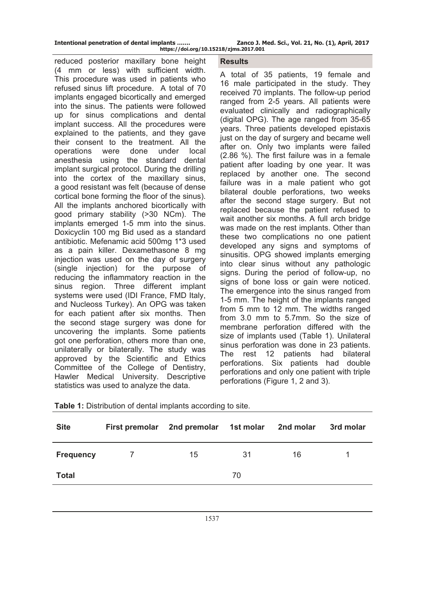| Intentional penetration of dental implants |  |  |
|--------------------------------------------|--|--|
|                                            |  |  |

Zanco J. Med. Sci., Vol. 21, No. (1), April, 2017 **https://doi.org/10.15218/zjms.2017.001**

reduced posterior maxillary bone height (4 mm or less) with sufficient width. This procedure was used in patients who refused sinus lift procedure. A total of 70 implants engaged bicortically and emerged into the sinus. The patients were followed up for sinus complications and dental implant success. All the procedures were explained to the patients, and they gave their consent to the treatment. All the operations were done under local anesthesia using the standard dental implant surgical protocol. During the drilling into the cortex of the maxillary sinus, a good resistant was felt (because of dense cortical bone forming the floor of the sinus). All the implants anchored bicortically with good primary stability (>30 NCm). The implants emerged 1-5 mm into the sinus. Doxicyclin 100 mg Bid used as a standard antibiotic. Mefenamic acid 500mg 1\*3 used as a pain killer. Dexamethasone 8 mg injection was used on the day of surgery (single injection) for the purpose of reducing the inflammatory reaction in the sinus region. Three different implant systems were used (IDI France, FMD Italy, and Nucleoss Turkey). An OPG was taken for each patient after six months. Then the second stage surgery was done for uncovering the implants. Some patients got one perforation, others more than one, unilaterally or bilaterally. The study was approved by the Scientific and Ethics Committee of the College of Dentistry, Hawler Medical University. Descriptive statistics was used to analyze the data.

# **Results**

A total of 35 patients, 19 female and 16 male participated in the study. They received 70 implants. The follow-up period ranged from 2-5 years. All patients were evaluated clinically and radiographically (digital OPG). The age ranged from 35-65 years. Three patients developed epistaxis just on the day of surgery and became well after on. Only two implants were failed (2.86 %). The first failure was in a female patient after loading by one year. It was replaced by another one. The second failure was in a male patient who got bilateral double perforations, two weeks after the second stage surgery. But not replaced because the patient refused to wait another six months. A full arch bridge was made on the rest implants. Other than these two complications no one patient developed any signs and symptoms of sinusitis. OPG showed implants emerging into clear sinus without any pathologic signs. During the period of follow-up, no signs of bone loss or gain were noticed. The emergence into the sinus ranged from 1-5 mm. The height of the implants ranged from 5 mm to 12 mm. The widths ranged from 3.0 mm to 5.7mm. So the size of membrane perforation differed with the size of implants used (Table 1). Unilateral sinus perforation was done in 23 patients. The rest 12 patients had bilateral perforations. Six patients had double perforations and only one patient with triple perforations (Figure 1, 2 and 3).

| <b>Site</b>      | <b>First premolar</b> | 2nd premolar 1st molar |    | 2nd molar | 3rd molar |  |  |
|------------------|-----------------------|------------------------|----|-----------|-----------|--|--|
| <b>Frequency</b> |                       | 15                     | 31 | 16        |           |  |  |
| <b>Total</b>     | 70                    |                        |    |           |           |  |  |
|                  |                       |                        |    |           |           |  |  |

**Table 1:** Distribution of dental implants according to site.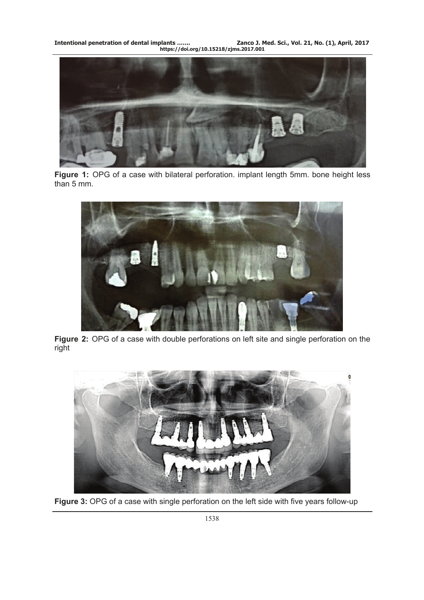**Intentional penetration of dental implants ……. Zanco J. Med. Sci., Vol. 21, No. (1), April, 2017 https://doi.org/10.15218/zjms.2017.001**



Figure 1: OPG of a case with bilateral perforation. implant length 5mm. bone height less than 5 mm.



**Figure 2:** OPG of a case with double perforations on left site and single perforation on the right



Figure 3: OPG of a case with single perforation on the left side with five years follow-up